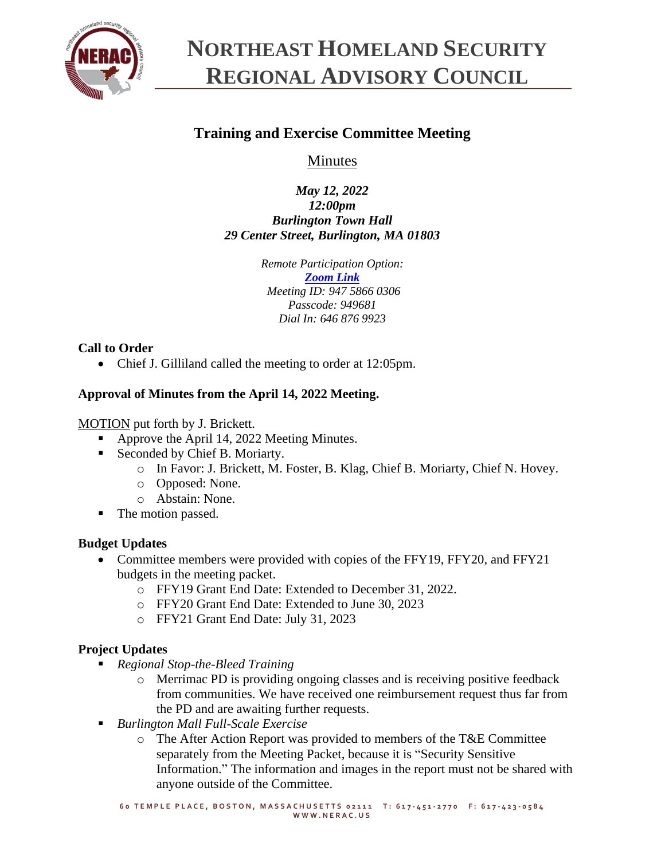

# **NORTHEAST HOMELAND SECURITY REGIONAL ADVISORY COUNCIL**

## **Training and Exercise Committee Meeting**

Minutes

*May 12, 2022 12:00pm Burlington Town Hall 29 Center Street, Burlington, MA 01803*

> *Remote Participation Option: [Zoom Link](https://zoom.us/j/94758660306?pwd=SzNhc1dNd0ZYNGg4c0pmalJ1bXVMdz09) Meeting ID: 947 5866 0306 Passcode: 949681 Dial In: 646 876 9923*

## **Call to Order**

• Chief J. Gilliland called the meeting to order at 12:05pm.

## **Approval of Minutes from the April 14, 2022 Meeting.**

MOTION put forth by J. Brickett.

- Approve the April 14, 2022 Meeting Minutes.
- Seconded by Chief B. Moriarty.
	- o In Favor: J. Brickett, M. Foster, B. Klag, Chief B. Moriarty, Chief N. Hovey.
	- o Opposed: None.
	- o Abstain: None.
- The motion passed.

## **Budget Updates**

- Committee members were provided with copies of the FFY19, FFY20, and FFY21 budgets in the meeting packet.
	- o FFY19 Grant End Date: Extended to December 31, 2022.
	- o FFY20 Grant End Date: Extended to June 30, 2023
	- o FFY21 Grant End Date: July 31, 2023

## **Project Updates**

- *Regional Stop-the-Bleed Training*
	- o Merrimac PD is providing ongoing classes and is receiving positive feedback from communities. We have received one reimbursement request thus far from the PD and are awaiting further requests.
- *Burlington Mall Full-Scale Exercise*
	- o The After Action Report was provided to members of the T&E Committee separately from the Meeting Packet, because it is "Security Sensitive Information." The information and images in the report must not be shared with anyone outside of the Committee.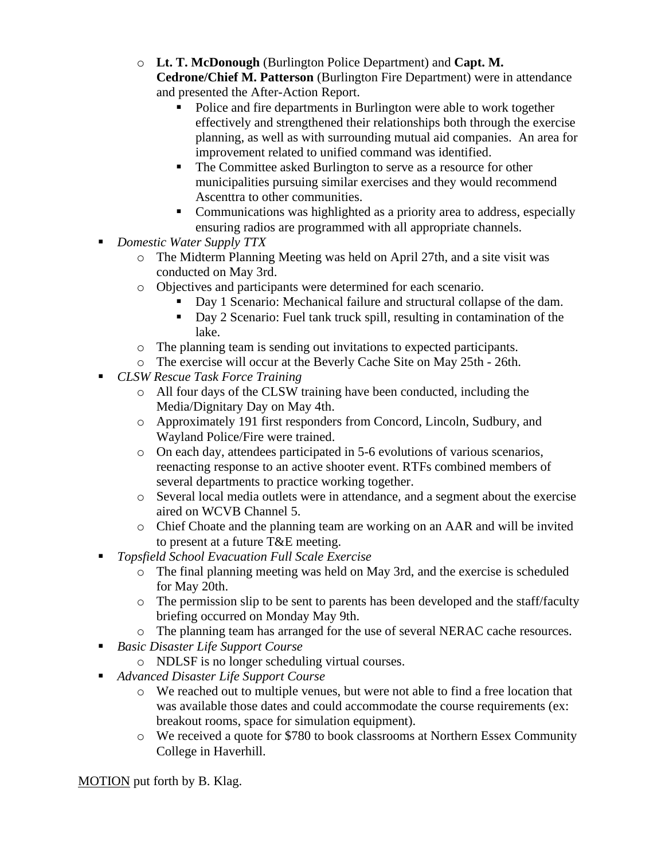- o **Lt. T. McDonough** (Burlington Police Department) and **Capt. M. Cedrone/Chief M. Patterson** (Burlington Fire Department) were in attendance and presented the After-Action Report.
	- Police and fire departments in Burlington were able to work together effectively and strengthened their relationships both through the exercise planning, as well as with surrounding mutual aid companies. An area for improvement related to unified command was identified.
	- The Committee asked Burlington to serve as a resource for other municipalities pursuing similar exercises and they would recommend Ascenttra to other communities.
	- Communications was highlighted as a priority area to address, especially ensuring radios are programmed with all appropriate channels.
- *Domestic Water Supply TTX* 
	- o The Midterm Planning Meeting was held on April 27th, and a site visit was conducted on May 3rd.
	- o Objectives and participants were determined for each scenario.
		- Day 1 Scenario: Mechanical failure and structural collapse of the dam.
		- Day 2 Scenario: Fuel tank truck spill, resulting in contamination of the lake.
	- o The planning team is sending out invitations to expected participants.
	- o The exercise will occur at the Beverly Cache Site on May 25th 26th.
- *CLSW Rescue Task Force Training*
	- o All four days of the CLSW training have been conducted, including the Media/Dignitary Day on May 4th.
	- o Approximately 191 first responders from Concord, Lincoln, Sudbury, and Wayland Police/Fire were trained.
	- o On each day, attendees participated in 5-6 evolutions of various scenarios, reenacting response to an active shooter event. RTFs combined members of several departments to practice working together.
	- o Several local media outlets were in attendance, and a segment about the exercise aired on WCVB Channel 5.
	- o Chief Choate and the planning team are working on an AAR and will be invited to present at a future T&E meeting.
- *Topsfield School Evacuation Full Scale Exercise*
	- o The final planning meeting was held on May 3rd, and the exercise is scheduled for May 20th.
	- o The permission slip to be sent to parents has been developed and the staff/faculty briefing occurred on Monday May 9th.
	- o The planning team has arranged for the use of several NERAC cache resources.
- *Basic Disaster Life Support Course*
	- o NDLSF is no longer scheduling virtual courses.
- *Advanced Disaster Life Support Course*
	- o We reached out to multiple venues, but were not able to find a free location that was available those dates and could accommodate the course requirements (ex: breakout rooms, space for simulation equipment).
	- o We received a quote for \$780 to book classrooms at Northern Essex Community College in Haverhill.

MOTION put forth by B. Klag.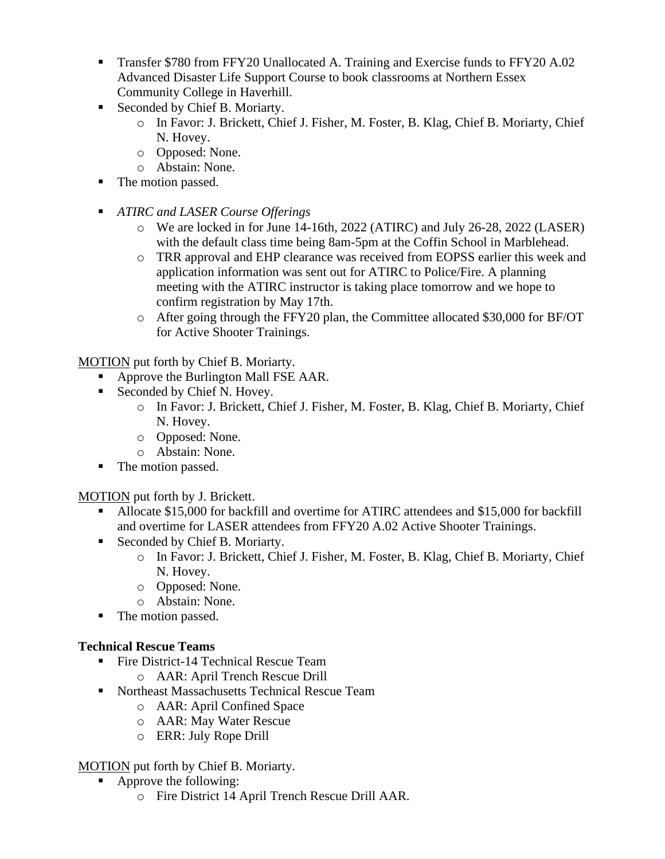- **Transfer \$780 from FFY20 Unallocated A. Training and Exercise funds to FFY20 A.02** Advanced Disaster Life Support Course to book classrooms at Northern Essex Community College in Haverhill.
- Seconded by Chief B. Moriarty.
	- o In Favor: J. Brickett, Chief J. Fisher, M. Foster, B. Klag, Chief B. Moriarty, Chief N. Hovey.
	- o Opposed: None.
	- o Abstain: None.
- The motion passed.
- *ATIRC and LASER Course Offerings*
	- o We are locked in for June 14-16th, 2022 (ATIRC) and July 26-28, 2022 (LASER) with the default class time being 8am-5pm at the Coffin School in Marblehead.
	- o TRR approval and EHP clearance was received from EOPSS earlier this week and application information was sent out for ATIRC to Police/Fire. A planning meeting with the ATIRC instructor is taking place tomorrow and we hope to confirm registration by May 17th.
	- o After going through the FFY20 plan, the Committee allocated \$30,000 for BF/OT for Active Shooter Trainings.

MOTION put forth by Chief B. Moriarty.

- Approve the Burlington Mall FSE AAR.
- Seconded by Chief N. Hovey.
	- o In Favor: J. Brickett, Chief J. Fisher, M. Foster, B. Klag, Chief B. Moriarty, Chief N. Hovey.
	- o Opposed: None.
	- o Abstain: None.
- The motion passed.

MOTION put forth by J. Brickett.

- Allocate \$15,000 for backfill and overtime for ATIRC attendees and \$15,000 for backfill and overtime for LASER attendees from FFY20 A.02 Active Shooter Trainings.
- Seconded by Chief B. Moriarty.
	- o In Favor: J. Brickett, Chief J. Fisher, M. Foster, B. Klag, Chief B. Moriarty, Chief N. Hovey.
	- o Opposed: None.
	- o Abstain: None.
- The motion passed.

## **Technical Rescue Teams**

- Fire District-14 Technical Rescue Team
	- o AAR: April Trench Rescue Drill
- Northeast Massachusetts Technical Rescue Team
	- o AAR: April Confined Space
	- o AAR: May Water Rescue
	- o ERR: July Rope Drill

## MOTION put forth by Chief B. Moriarty.

- Approve the following:
	- o Fire District 14 April Trench Rescue Drill AAR.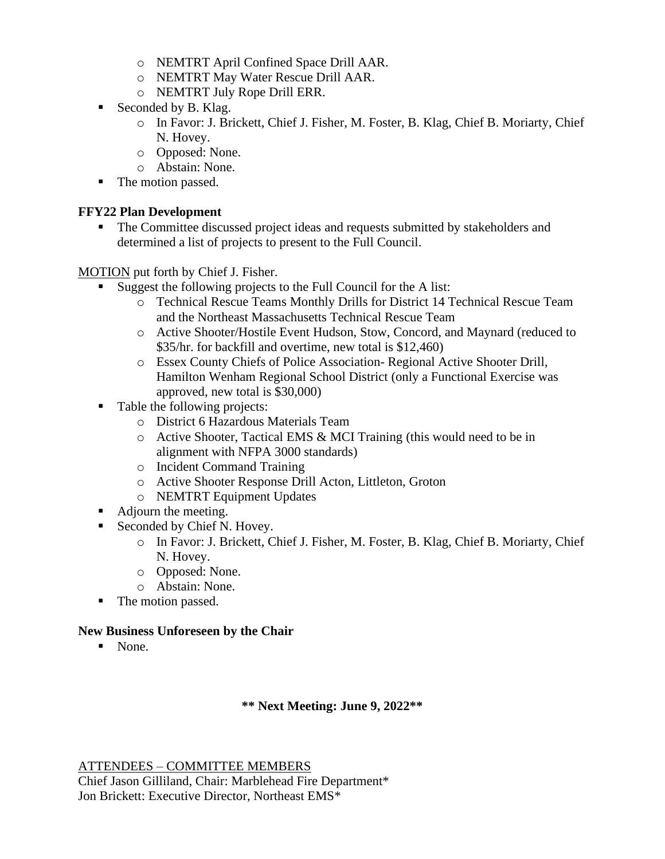- o NEMTRT April Confined Space Drill AAR.
- o NEMTRT May Water Rescue Drill AAR.
- o NEMTRT July Rope Drill ERR.
- Seconded by B. Klag.
	- o In Favor: J. Brickett, Chief J. Fisher, M. Foster, B. Klag, Chief B. Moriarty, Chief N. Hovey.
	- o Opposed: None.
	- o Abstain: None.
- The motion passed.

#### **FFY22 Plan Development**

■ The Committee discussed project ideas and requests submitted by stakeholders and determined a list of projects to present to the Full Council.

MOTION put forth by Chief J. Fisher.

- Suggest the following projects to the Full Council for the A list:
	- o Technical Rescue Teams Monthly Drills for District 14 Technical Rescue Team and the Northeast Massachusetts Technical Rescue Team
	- o Active Shooter/Hostile Event Hudson, Stow, Concord, and Maynard (reduced to \$35/hr. for backfill and overtime, new total is \$12,460)
	- o Essex County Chiefs of Police Association- Regional Active Shooter Drill, Hamilton Wenham Regional School District (only a Functional Exercise was approved, new total is \$30,000)
- Table the following projects:
	- o District 6 Hazardous Materials Team
	- o Active Shooter, Tactical EMS & MCI Training (this would need to be in alignment with NFPA 3000 standards)
	- o Incident Command Training
	- o Active Shooter Response Drill Acton, Littleton, Groton
	- o NEMTRT Equipment Updates
- Adjourn the meeting.
- Seconded by Chief N. Hovey.
	- o In Favor: J. Brickett, Chief J. Fisher, M. Foster, B. Klag, Chief B. Moriarty, Chief N. Hovey.
	- o Opposed: None.
	- o Abstain: None.
- The motion passed.

#### **New Business Unforeseen by the Chair**

■ None.

#### **\*\* Next Meeting: June 9, 2022\*\***

ATTENDEES – COMMITTEE MEMBERS

Chief Jason Gilliland, Chair: Marblehead Fire Department\* Jon Brickett: Executive Director, Northeast EMS\*